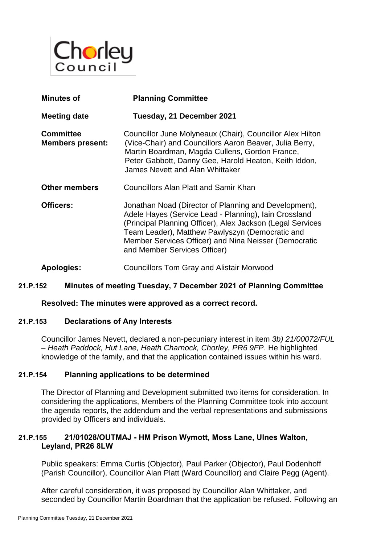

| <b>Minutes of</b>                           | <b>Planning Committee</b>                                                                                                                                                                                                                                                                                                |
|---------------------------------------------|--------------------------------------------------------------------------------------------------------------------------------------------------------------------------------------------------------------------------------------------------------------------------------------------------------------------------|
| <b>Meeting date</b>                         | Tuesday, 21 December 2021                                                                                                                                                                                                                                                                                                |
| <b>Committee</b><br><b>Members present:</b> | Councillor June Molyneaux (Chair), Councillor Alex Hilton<br>(Vice-Chair) and Councillors Aaron Beaver, Julia Berry,<br>Martin Boardman, Magda Cullens, Gordon France,<br>Peter Gabbott, Danny Gee, Harold Heaton, Keith Iddon,<br>James Nevett and Alan Whittaker                                                       |
| <b>Other members</b>                        | Councillors Alan Platt and Samir Khan                                                                                                                                                                                                                                                                                    |
| Officers:                                   | Jonathan Noad (Director of Planning and Development),<br>Adele Hayes (Service Lead - Planning), Iain Crossland<br>(Principal Planning Officer), Alex Jackson (Legal Services<br>Team Leader), Matthew Pawlyszyn (Democratic and<br>Member Services Officer) and Nina Neisser (Democratic<br>and Member Services Officer) |
| Apologies:                                  | <b>Councillors Tom Gray and Alistair Morwood</b>                                                                                                                                                                                                                                                                         |

## **21.P.152 Minutes of meeting Tuesday, 7 December 2021 of Planning Committee**

**Resolved: The minutes were approved as a correct record.** 

#### **21.P.153 Declarations of Any Interests**

Councillor James Nevett, declared a non-pecuniary interest in item *3b) 21/00072/FUL – Heath Paddock, Hut Lane, Heath Charnock, Chorley, PR6 9FP*. He highlighted knowledge of the family, and that the application contained issues within his ward.

#### **21.P.154 Planning applications to be determined**

The Director of Planning and Development submitted two items for consideration. In considering the applications, Members of the Planning Committee took into account the agenda reports, the addendum and the verbal representations and submissions provided by Officers and individuals.

### **21.P.155 21/01028/OUTMAJ - HM Prison Wymott, Moss Lane, Ulnes Walton, Leyland, PR26 8LW**

Public speakers: Emma Curtis (Objector), Paul Parker (Objector), Paul Dodenhoff (Parish Councillor), Councillor Alan Platt (Ward Councillor) and Claire Pegg (Agent).

After careful consideration, it was proposed by Councillor Alan Whittaker, and seconded by Councillor Martin Boardman that the application be refused. Following an